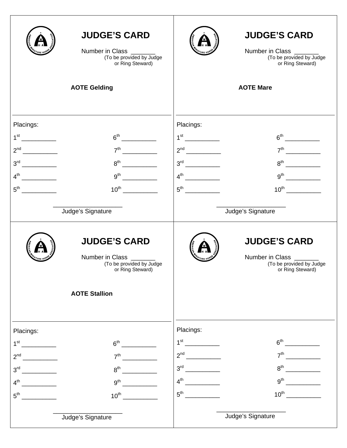|                 | <b>JUDGE'S CARD</b><br>Number in Class _______<br>(To be provided by Judge<br>or Ring Steward) |                 | <b>JUDGE'S CARD</b><br>Number in Class _______<br>(To be provided by Judge<br>or Ring Steward) |
|-----------------|------------------------------------------------------------------------------------------------|-----------------|------------------------------------------------------------------------------------------------|
|                 | <b>AOTE Gelding</b>                                                                            |                 | <b>AOTE Mare</b>                                                                               |
| Placings:       | 6 <sup>th</sup>                                                                                | Placings:       |                                                                                                |
|                 |                                                                                                |                 |                                                                                                |
|                 |                                                                                                |                 |                                                                                                |
| $5^{\text{th}}$ | $10^{\text{th}}$                                                                               | $5^{\text{th}}$ | $10^{th}$                                                                                      |
|                 | Judge's Signature                                                                              |                 | Judge's Signature                                                                              |
|                 | <b>JUDGE'S CARD</b><br>Number in Class _______<br>(To be provided by Judge<br>or Ring Steward) |                 | <b>JUDGE'S CARD</b><br>Number in Class _______<br>(To be provided by Judge<br>or Ring Steward) |
|                 | <b>AOTE Stallion</b>                                                                           |                 |                                                                                                |
| Placings:       |                                                                                                | Placings:       |                                                                                                |
| $1^{\rm st}$    | 6 <sup>th</sup>                                                                                | $1^{\text{st}}$ | $6^{\text{th}}$                                                                                |
| 2 <sup>nd</sup> | 7 <sup>th</sup>                                                                                | 2 <sup>nd</sup> | 7 <sup>th</sup>                                                                                |
| 3 <sup>rd</sup> | $8^{\text{th}}$                                                                                | 3 <sup>rd</sup> | 8 <sup>th</sup>                                                                                |
| 4 <sup>th</sup> | 9 <sup>th</sup>                                                                                | $4^{\text{th}}$ | 9 <sup>th</sup>                                                                                |
| 5 <sup>th</sup> | $10^{\text{th}}$                                                                               | $5^{\text{th}}$ | $10^{\text{th}}$                                                                               |
|                 | Judge's Signature                                                                              |                 | Judge's Signature                                                                              |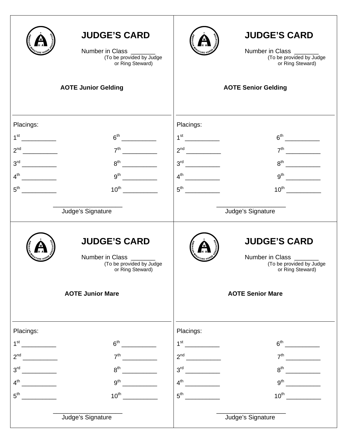|                                                                                                                                                                                                                                                         | <b>JUDGE'S CARD</b><br>Number in Class _____<br>(To be provided by Judge<br>or Ring Steward)   | <b>JUDGE'S CARD</b><br>Number in Class _____<br>(To be provided by Judge<br>or Ring Steward)   |
|---------------------------------------------------------------------------------------------------------------------------------------------------------------------------------------------------------------------------------------------------------|------------------------------------------------------------------------------------------------|------------------------------------------------------------------------------------------------|
|                                                                                                                                                                                                                                                         | <b>AOTE Junior Gelding</b>                                                                     | <b>AOTE Senior Gelding</b>                                                                     |
| Placings:                                                                                                                                                                                                                                               |                                                                                                | Placings:                                                                                      |
|                                                                                                                                                                                                                                                         |                                                                                                |                                                                                                |
|                                                                                                                                                                                                                                                         | 7 <sup>th</sup>                                                                                |                                                                                                |
|                                                                                                                                                                                                                                                         | $8^{\text{th}}$                                                                                | $8^{th}$                                                                                       |
| $4^{\text{th}}$                                                                                                                                                                                                                                         | $9^{\text{th}}$                                                                                |                                                                                                |
| 5 <sup>th</sup>                                                                                                                                                                                                                                         | $10^{\text{th}}$                                                                               | $5^{\text{th}}$                                                                                |
|                                                                                                                                                                                                                                                         | Judge's Signature                                                                              | Judge's Signature                                                                              |
|                                                                                                                                                                                                                                                         | <b>JUDGE'S CARD</b><br>Number in Class _______<br>(To be provided by Judge<br>or Ring Steward) | <b>JUDGE'S CARD</b><br>Number in Class _______<br>(To be provided by Judge<br>or Ring Steward) |
|                                                                                                                                                                                                                                                         | <b>AOTE Junior Mare</b>                                                                        | <b>AOTE Senior Mare</b>                                                                        |
| Placings:                                                                                                                                                                                                                                               |                                                                                                | Placings:                                                                                      |
| 1 <sup>st</sup>                                                                                                                                                                                                                                         | 6 <sup>th</sup>                                                                                |                                                                                                |
| 2 <sup>nd</sup>                                                                                                                                                                                                                                         | 7 <sup>th</sup>                                                                                | 7 <sup>th</sup>                                                                                |
| 3 <sup>rd</sup>                                                                                                                                                                                                                                         | 8 <sup>th</sup>                                                                                | 8 <sup>th</sup>                                                                                |
| 4 <sup>th</sup>                                                                                                                                                                                                                                         | 9 <sup>th</sup>                                                                                | $9^{\text{th}}$<br><u>and the state of the sta</u>                                             |
| $5^{\text{th}}$<br><u>and the state of the state of the state of the state of the state of the state of the state of the state of the state of the state of the state of the state of the state of the state of the state of the state of the state</u> | $10^{\text{th}}$                                                                               |                                                                                                |
|                                                                                                                                                                                                                                                         | Judge's Signature                                                                              | Judge's Signature                                                                              |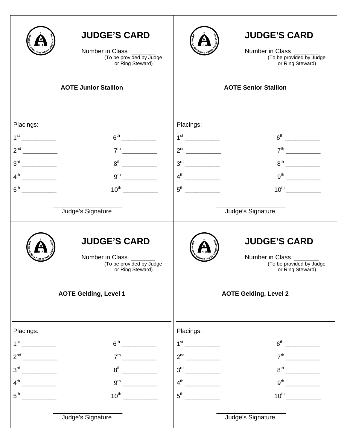|                                                                                                                       | <b>JUDGE'S CARD</b><br>Number in Class<br>(To be provided by Judge<br>or Ring Steward)<br><b>AOTE Junior Stallion</b>          | <b>JUDGE'S CARD</b><br>Number in Class _______<br>(To be provided by Judge<br>or Ring Steward)<br><b>AOTE Senior Stallion</b>                     |
|-----------------------------------------------------------------------------------------------------------------------|--------------------------------------------------------------------------------------------------------------------------------|---------------------------------------------------------------------------------------------------------------------------------------------------|
| Placings:<br>4 <sup>th</sup><br>5 <sup>th</sup>                                                                       | 7 <sup>th</sup><br>$8^{\text{th}}$<br>$9^{\text{th}}$<br>$10^{\text{th}}$<br>Judge's Signature                                 | Placings:<br>7 <sup>th</sup><br>$4^{th}$<br>$5^{\text{th}}$<br>Judge's Signature                                                                  |
|                                                                                                                       | <b>JUDGE'S CARD</b><br>Number in Class _______<br>(To be provided by Judge<br>or Ring Steward)<br><b>AOTE Gelding, Level 1</b> | <b>JUDGE'S CARD</b><br>Number in Class _______<br>(To be provided by Judge<br>or Ring Steward)<br><b>AOTE Gelding, Level 2</b>                    |
| Placings:<br>2 <sup>nd</sup><br>3 <sup>rd</sup><br><u>and the state</u><br>$4^{\text{th}}$<br><u> 1999 - Jan Jawa</u> | 6 <sup>th</sup><br>7 <sup>th</sup><br>8 <sup>th</sup><br>9 <sup>th</sup>                                                       | Placings:<br>$7th$ 2007 $\overline{\qquad \qquad }$<br>$3^{\text{rd}}$<br>$8^{\text{th}}$<br><u> 1999 - Jan Ja</u><br>9 <sup>th</sup><br>$4^{th}$ |
|                                                                                                                       | Judge's Signature                                                                                                              | Judge's Signature                                                                                                                                 |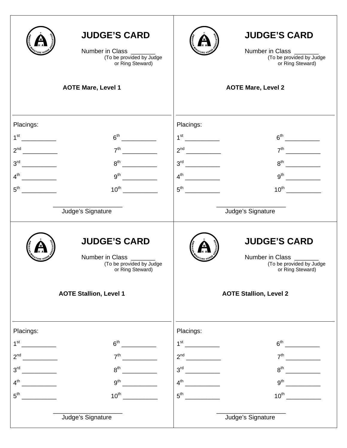|                                             | <b>JUDGE'S CARD</b><br>Number in Class _____<br>(To be provided by Judge<br>or Ring Steward)<br><b>AOTE Mare, Level 1</b>                         |                                                | <b>JUDGE'S CARD</b><br>Number in Class ______<br>(To be provided by Judge<br>or Ring Steward)<br><b>AOTE Mare, Level 2</b> |
|---------------------------------------------|---------------------------------------------------------------------------------------------------------------------------------------------------|------------------------------------------------|----------------------------------------------------------------------------------------------------------------------------|
|                                             |                                                                                                                                                   |                                                |                                                                                                                            |
|                                             |                                                                                                                                                   |                                                |                                                                                                                            |
| Placings:                                   |                                                                                                                                                   | Placings:                                      |                                                                                                                            |
| 1 <sup>st</sup>                             | $6th$ and $6th$ and $6th$ and $6th$ and $6th$ and $6th$ and $6th$ and $6th$ and $6th$ and $6th$ and $6th$ and $6th$ and $6th$ and $6th$ and $6th$ |                                                |                                                                                                                            |
| 2 <sup>nd</sup><br>$\overline{\phantom{a}}$ | 7 <sup>th</sup>                                                                                                                                   |                                                |                                                                                                                            |
| $3^{\text{rd}}$                             | $8^{\text{th}}$                                                                                                                                   |                                                | $8^{\text{th}}$                                                                                                            |
| $4^{\text{th}}$<br>$\overline{\phantom{a}}$ | 9 <sup>th</sup>                                                                                                                                   |                                                |                                                                                                                            |
| 5 <sup>th</sup>                             | $10^{\text{th}}$                                                                                                                                  | $5^{\text{th}}$                                | $10^{th}$                                                                                                                  |
|                                             | Judge's Signature                                                                                                                                 |                                                | Judge's Signature                                                                                                          |
|                                             | <b>JUDGE'S CARD</b><br>Number in Class _______<br>(To be provided by Judge<br>or Ring Steward)                                                    |                                                | <b>JUDGE'S CARD</b><br>Number in Class ______<br>(To be provided by Judge<br>or Ring Steward)                              |
|                                             | <b>AOTE Stallion, Level 1</b>                                                                                                                     |                                                | <b>AOTE Stallion, Level 2</b>                                                                                              |
| Placings:                                   |                                                                                                                                                   | Placings:                                      |                                                                                                                            |
| 1 <sup>st</sup>                             | $6^{\text{th}}$                                                                                                                                   |                                                |                                                                                                                            |
| 2 <sup>nd</sup>                             | 7 <sup>th</sup>                                                                                                                                   |                                                | 7 <sup>th</sup>                                                                                                            |
| 3 <sup>rd</sup>                             | 8 <sup>th</sup>                                                                                                                                   | $3^{\text{rd}}$<br><u>a sa mga salawang pa</u> | 8 <sup>th</sup>                                                                                                            |
| $4^{\text{th}}$                             | 9 <sup>th</sup>                                                                                                                                   | $4^{\text{th}}$                                | 9 <sup>th</sup><br><u>and the second second</u>                                                                            |
| $5^{\text{th}}$                             | $10^{\text{th}}$                                                                                                                                  | $5^{\text{th}}$                                | $10^{\text{th}}$                                                                                                           |
|                                             | Judge's Signature                                                                                                                                 |                                                | Judge's Signature                                                                                                          |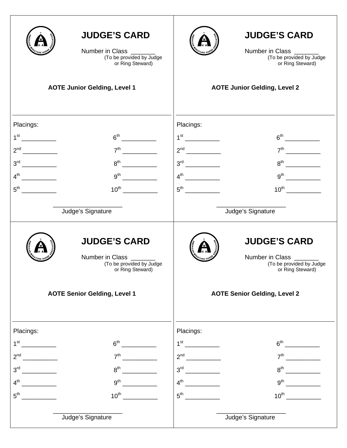|                                            | <b>JUDGE'S CARD</b><br>Number in Class ______<br>(To be provided by Judge<br>or Ring Steward)<br><b>AOTE Junior Gelding, Level 1</b> | <b>JUDGE'S CARD</b><br>Number in Class _______<br>(To be provided by Judge<br>or Ring Steward)<br><b>AOTE Junior Gelding, Level 2</b> |  |
|--------------------------------------------|--------------------------------------------------------------------------------------------------------------------------------------|---------------------------------------------------------------------------------------------------------------------------------------|--|
|                                            |                                                                                                                                      |                                                                                                                                       |  |
|                                            |                                                                                                                                      |                                                                                                                                       |  |
| Placings:                                  |                                                                                                                                      | Placings:                                                                                                                             |  |
|                                            |                                                                                                                                      | $7th$ 2007 $\overline{2th}$                                                                                                           |  |
|                                            | $8^{\text{th}}$                                                                                                                      |                                                                                                                                       |  |
|                                            | $9^{th}$                                                                                                                             |                                                                                                                                       |  |
| $5^{\text{th}}$                            |                                                                                                                                      |                                                                                                                                       |  |
|                                            |                                                                                                                                      |                                                                                                                                       |  |
|                                            | Judge's Signature                                                                                                                    | Judge's Signature                                                                                                                     |  |
|                                            | <b>JUDGE'S CARD</b><br>Number in Class _______<br>(To be provided by Judge<br>or Ring Steward)                                       | <b>JUDGE'S CARD</b><br>Number in Class _____<br>(To be provided by Judge<br>or Ring Steward)                                          |  |
|                                            | <b>AOTE Senior Gelding, Level 1</b>                                                                                                  | <b>AOTE Senior Gelding, Level 2</b>                                                                                                   |  |
| Placings:                                  |                                                                                                                                      | Placings:                                                                                                                             |  |
| 1 <sup>st</sup>                            | $6^{\text{th}}$                                                                                                                      |                                                                                                                                       |  |
| 2 <sup>nd</sup><br><u> 1999 - Jan Jawa</u> | 7 <sup>th</sup>                                                                                                                      | 7 <sup>th</sup>                                                                                                                       |  |
| 3 <sup>rd</sup>                            | $8^{\text{th}}$                                                                                                                      |                                                                                                                                       |  |
|                                            | 9 <sup>th</sup>                                                                                                                      |                                                                                                                                       |  |
|                                            | $10^{\text{th}}$                                                                                                                     | $5^{\text{th}}$                                                                                                                       |  |
|                                            | Judge's Signature                                                                                                                    | Judge's Signature                                                                                                                     |  |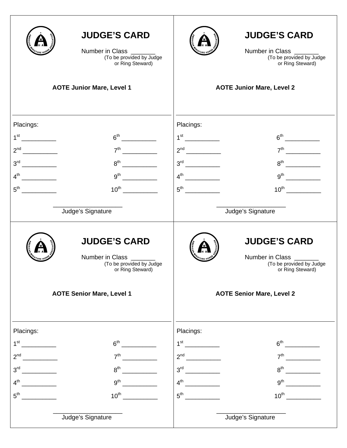|                 | <b>JUDGE'S CARD</b><br>Number in Class _____<br>(To be provided by Judge<br>or Ring Steward)   |           | <b>JUDGE'S CARD</b><br>Number in Class _______<br>(To be provided by Judge<br>or Ring Steward) |
|-----------------|------------------------------------------------------------------------------------------------|-----------|------------------------------------------------------------------------------------------------|
|                 | <b>AOTE Junior Mare, Level 1</b>                                                               |           | <b>AOTE Junior Mare, Level 2</b>                                                               |
|                 |                                                                                                |           |                                                                                                |
| Placings:       |                                                                                                | Placings: |                                                                                                |
|                 | 7 <sup>th</sup>                                                                                |           |                                                                                                |
|                 | $8^{\text{th}}$                                                                                |           |                                                                                                |
| $4^{\text{th}}$ | 9 <sup>th</sup>                                                                                |           |                                                                                                |
|                 |                                                                                                |           |                                                                                                |
|                 | Judge's Signature                                                                              |           |                                                                                                |
|                 |                                                                                                |           | Judge's Signature                                                                              |
|                 | <b>JUDGE'S CARD</b><br>Number in Class _______<br>(To be provided by Judge<br>or Ring Steward) |           | <b>JUDGE'S CARD</b><br>Number in Class _______<br>(To be provided by Judge<br>or Ring Steward) |
|                 | <b>AOTE Senior Mare, Level 1</b>                                                               |           | <b>AOTE Senior Mare, Level 2</b>                                                               |
| Placings:       |                                                                                                | Placings: |                                                                                                |
| 1 <sup>st</sup> | 6 <sup>th</sup>                                                                                |           |                                                                                                |
| 2 <sup>nd</sup> | 7 <sup>th</sup>                                                                                |           | 7 <sup>th</sup>                                                                                |
| 3 <sup>rd</sup> | 8 <sup>th</sup>                                                                                |           | 8 <sup>th</sup>                                                                                |
| $4^{\text{th}}$ | 9 <sup>th</sup>                                                                                |           | 9 <sup>th</sup>                                                                                |
|                 | $10^{\text{th}}$                                                                               |           | $10^{th}$                                                                                      |
|                 | Judge's Signature                                                                              |           | Judge's Signature                                                                              |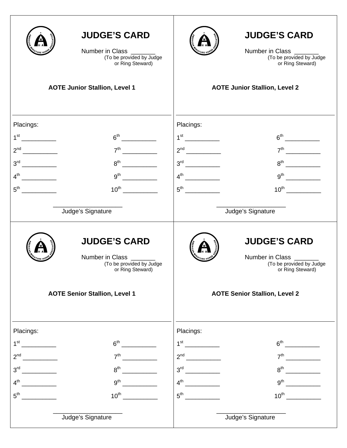| <b>AOTE Junior Stallion, Level 1</b> | <b>JUDGE'S CARD</b><br>Number in Class ______<br>(To be provided by Judge<br>or Ring Steward)  |                 | <b>JUDGE'S CARD</b><br>Number in Class _______<br>(To be provided by Judge<br>or Ring Steward)<br><b>AOTE Junior Stallion, Level 2</b> |
|--------------------------------------|------------------------------------------------------------------------------------------------|-----------------|----------------------------------------------------------------------------------------------------------------------------------------|
|                                      |                                                                                                |                 |                                                                                                                                        |
|                                      |                                                                                                |                 |                                                                                                                                        |
| Placings:                            |                                                                                                | Placings:       |                                                                                                                                        |
|                                      |                                                                                                |                 | $7th$ 2007 $\overline{2th}$                                                                                                            |
|                                      | $8^{\text{th}}$                                                                                |                 |                                                                                                                                        |
|                                      | $9^{th}$                                                                                       |                 |                                                                                                                                        |
| $5^{\text{th}}$                      |                                                                                                |                 |                                                                                                                                        |
|                                      |                                                                                                |                 |                                                                                                                                        |
| Judge's Signature                    |                                                                                                |                 | Judge's Signature                                                                                                                      |
|                                      | <b>JUDGE'S CARD</b><br>Number in Class _______<br>(To be provided by Judge<br>or Ring Steward) |                 | <b>JUDGE'S CARD</b><br>Number in Class _____<br>(To be provided by Judge<br>or Ring Steward)                                           |
| <b>AOTE Senior Stallion, Level 1</b> |                                                                                                |                 | <b>AOTE Senior Stallion, Level 2</b>                                                                                                   |
| Placings:                            |                                                                                                | Placings:       |                                                                                                                                        |
| 1 <sup>st</sup>                      | $6^{\text{th}}$                                                                                | $1^{\rm st}$    |                                                                                                                                        |
| 2 <sup>nd</sup>                      | 7 <sup>th</sup>                                                                                |                 | 7 <sup>th</sup>                                                                                                                        |
| 3 <sup>rd</sup>                      | $8^{\text{th}}$                                                                                |                 | $8^{\text{th}}$                                                                                                                        |
| $4^{\text{th}}$                      | 9 <sup>th</sup>                                                                                | $4^{\text{th}}$ |                                                                                                                                        |
|                                      | $10^{\text{th}}$                                                                               |                 | $10^{\text{th}}$                                                                                                                       |
| Judge's Signature                    |                                                                                                |                 | Judge's Signature                                                                                                                      |